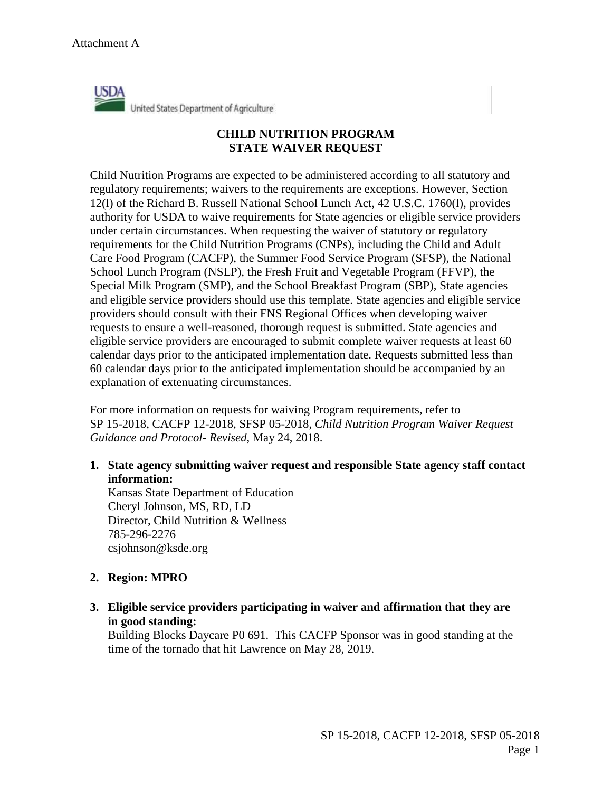

## **CHILD NUTRITION PROGRAM STATE WAIVER REQUEST**

Child Nutrition Programs are expected to be administered according to all statutory and regulatory requirements; waivers to the requirements are exceptions. However, Section 12(l) of the Richard B. Russell National School Lunch Act, 42 U.S.C. 1760(l), provides authority for USDA to waive requirements for State agencies or eligible service providers under certain circumstances. When requesting the waiver of statutory or regulatory requirements for the Child Nutrition Programs (CNPs), including the Child and Adult Care Food Program (CACFP), the Summer Food Service Program (SFSP), the National School Lunch Program (NSLP), the Fresh Fruit and Vegetable Program (FFVP), the Special Milk Program (SMP), and the School Breakfast Program (SBP), State agencies and eligible service providers should use this template. State agencies and eligible service providers should consult with their FNS Regional Offices when developing waiver requests to ensure a well-reasoned, thorough request is submitted. State agencies and eligible service providers are encouraged to submit complete waiver requests at least 60 calendar days prior to the anticipated implementation date. Requests submitted less than 60 calendar days prior to the anticipated implementation should be accompanied by an explanation of extenuating circumstances.

For more information on requests for waiving Program requirements, refer to SP 15-2018, CACFP 12-2018, SFSP 05-2018, *Child Nutrition Program Waiver Request Guidance and Protocol- Revised*, May 24, 2018.

**1. State agency submitting waiver request and responsible State agency staff contact information:** 

Kansas State Department of Education Cheryl Johnson, MS, RD, LD Director, Child Nutrition & Wellness 785-296-2276 csjohnson@ksde.org

## **2. Region: MPRO**

**3. Eligible service providers participating in waiver and affirmation that they are in good standing:** 

Building Blocks Daycare P0 691. This CACFP Sponsor was in good standing at the time of the tornado that hit Lawrence on May 28, 2019.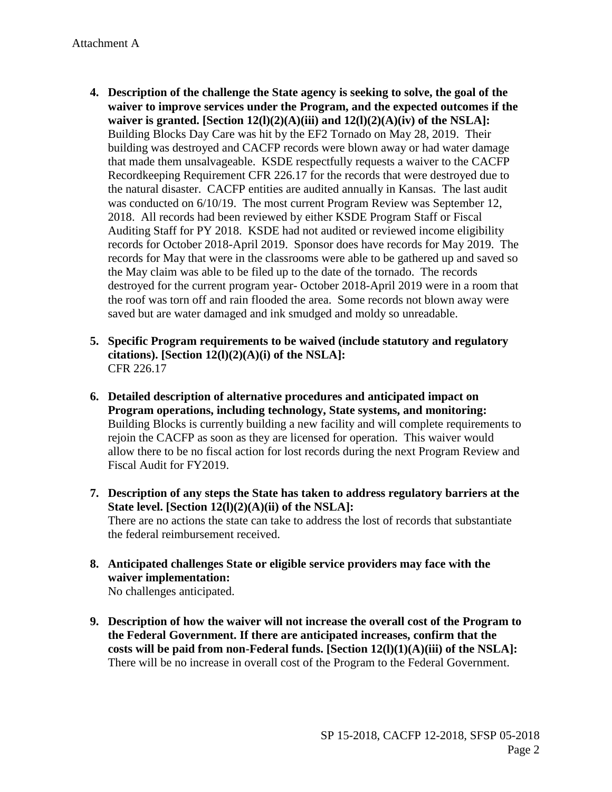- the natural disaster. CACFP entities are audited annually in Kansas. The last audit 2018. All records had been reviewed by either KSDE Program Staff or Fiscal records for October 2018-April 2019. Sponsor does have records for May 2019. The records for May that were in the classrooms were able to be gathered up and saved so the roof was torn off and rain flooded the area. Some records not blown away were **4. Description of the challenge the State agency is seeking to solve, the goal of the waiver to improve services under the Program, and the expected outcomes if the waiver is granted. [Section 12(l)(2)(A)(iii) and 12(l)(2)(A)(iv) of the NSLA]:**  Building Blocks Day Care was hit by the EF2 Tornado on May 28, 2019. Their building was destroyed and CACFP records were blown away or had water damage that made them unsalvageable. KSDE respectfully requests a waiver to the CACFP Recordkeeping Requirement CFR 226.17 for the records that were destroyed due to was conducted on  $6/10/19$ . The most current Program Review was September 12, Auditing Staff for PY 2018. KSDE had not audited or reviewed income eligibility the May claim was able to be filed up to the date of the tornado. The records destroyed for the current program year- October 2018-April 2019 were in a room that saved but are water damaged and ink smudged and moldy so unreadable.
- **5. Specific Program requirements to be waived (include statutory and regulatory citations). [Section 12(l)(2)(A)(i) of the NSLA]:**  CFR 226.17
- **6. Detailed description of alternative procedures and anticipated impact on Program operations, including technology, State systems, and monitoring:**  Building Blocks is currently building a new facility and will complete requirements to rejoin the CACFP as soon as they are licensed for operation. This waiver would allow there to be no fiscal action for lost records during the next Program Review and Fiscal Audit for FY2019.
- **7. Description of any steps the State has taken to address regulatory barriers at the State level. [Section 12(l)(2)(A)(ii) of the NSLA]:**  There are no actions the state can take to address the lost of records that substantiate the federal reimbursement received.
- **8. Anticipated challenges State or eligible service providers may face with the waiver implementation:**  No challenges anticipated.
- **the Federal Government. If there are anticipated increases, confirm that the costs will be paid from non-Federal funds. [Section 12(l)(1)(A)(iii) of the NSLA]: 9. Description of how the waiver will not increase the overall cost of the Program to**  There will be no increase in overall cost of the Program to the Federal Government.